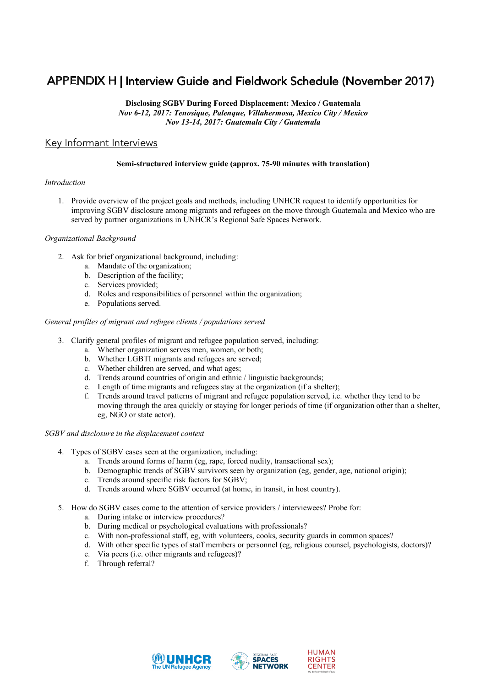# APPENDIX H | Interview Guide and Fieldwork Schedule (November 2017)

**Disclosing SGBV During Forced Displacement: Mexico / Guatemala** *Nov 6-12, 2017: Tenosique, Palenque, Villahermosa, Mexico City / Mexico Nov 13-14, 2017: Guatemala City / Guatemala*

### Key Informant Interviews

## **Semi-structured interview guide (approx. 75-90 minutes with translation) Americas Region Regional Safe Spaces Network**

#### *Introduction*  $\text{prefunction}$

1. Provide overview of the project goals and methods, including UNHCR request to identify opportunities for improving SGBV disclosure among migrants and refugees on the move through Guatemala and Mexico who are improving mproving SOB v disclosure almong inglants and relagees on the move unodgen Salatemala and Mexico who an served by partner organizations in UNHCR's Regional Safe Spaces Network. survivors and individuals at risk of SGBV who are refugees, asylum-seekers, returnees, internally displaced persons,

#### *Organizational Background persons persons persons who might be international protectional protectional* **protectional protectional protectional protectional protectional protectional protectional protectional protecti** including boung women. The and boys, and LGBTITING persons. The anonymous compilation of data control of data collection of data control control control control control control control control control control control colle

- 2. Ask for brief organizational background, including:
	- a. Mandate of the organization;
- **b.** Description of the facility;
- organizations responsible for operating a physical or mobile facility or mobile Services provided;
- d. Roles and responsibilities of personnel within the organization;
- e. Populations served.<br>
programmes of personnel within the organization, people in transit, stateless people, and other individuals who might be in need of international protection. Safe Spaces

### General profiles of migrant and refugee clients / populations served

- 3. Clarify general profiles of migrant and refugee population served, including:
- a. Whether organization serves men, women, or both;
- migration flows and the mainly meaning are served;<br>b. Whether LGBTI migrants and refugees are served;
- c. Whether children are served, and what ages;
	- d. Trends around countries of origin and ethnic / linguistic backgrounds;
- e. Length of time migrants and refugees stay at the organization (if a shelter);
- f. Trends around travel patterns of migrant and refugee population served, i.e. whether they tend to be  $\frac{1}{n}$ . Trends around travel patterns of migrant and refugee population served, i.e. whether they tend to be moving through the area quickly or staying for longer periods of time (if organization other than a shelter, eg, NGO or state actor).  $S_{\sigma}$  Spaces networks can be computed in an anonymous manner to produce Regional Safe Spaces Network statistics.

# $SGBV$  and disclosure in the displacement context

- 4. Types of SGBV cases seen at the organization, including:
- $\frac{1}{2}$  a. Trends around forms of harm (eg, rape, forced nudity, transactional sex);
- statistics with the local Safe Schultz (vg, sepace network, and the research safe);<br>b. Demographic trends of SGBV survivors seen by organization (eg, gender, age, national origin);
- c. Trends around specific risk factors for SGBV;
	- d. Trends around where SGBV occurred (at home, in transit, in host country).
	- 5. How do SGBV cases come to the attention of service providers / interviewees? Probe for:
- a. During intake or interview procedures?
- b. During medical or psychological evaluations with professionals?
- c. With non-professional staff, eg, with volunteers, cooks, security guards in common spaces?
- d. With other specific types of staff members or personnel (eg, religious counsel, psychologists, doctors)? d. With other spectric types of start members or personner (eg, refigious counsel, psychologists, doctors)?
- e. Via peers (i.e. other migrants and refugees)? e. Via peers (i.e. other migrants and refugees)?
- f. Through referral? f. Through referral?  $17.7$  Lesbian,  $17.7$  Lesbian, Diverse sexual orientation and generation and generation and generation and generation and generation and generation and generation and generation and generation  $\alpha$





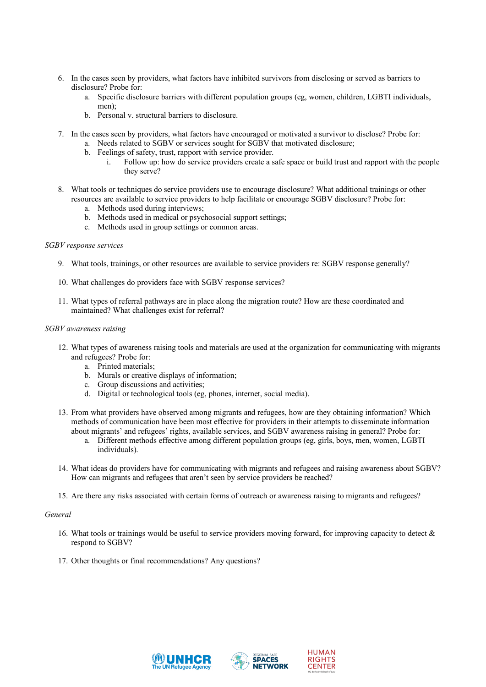- 6. In the cases seen by providers, what factors have inhibited survivors from disclosing or served as barriers to disclosure? Probe for:
	- a. Specific disclosure barriers with different population groups (eg, women, children, LGBTI individuals, men):
	- b. Personal v. structural barriers to disclosure.
- 7. In the cases seen by providers, what factors have encouraged or motivated a survivor to disclose? Probe for:
	- a. Needs related to SGBV or services sought for SGBV that motivated disclosure;
	- b. Feelings of safety, trust, rapport with service provider.
		- i. Follow up: how do service providers create a safe space or build trust and rapport with the people they serve?
- 8. What tools or techniques do service providers use to encourage disclosure? What additional trainings or other resources are available to service providers to help facilitate or encourage SGBV disclosure? Probe for:
	- a. Methods used during interviews;
	- b. Methods used in medical or psychosocial support settings;
	- c. Methods used in group settings or common areas.

### *SGBV response services*

- 9. What tools, trainings, or other resources are available to service providers re: SGBV response generally?
- 10. What challenges do providers face with SGBV response services?
- 11. What types of referral pathways are in place along the migration route? How are these coordinated and maintained? What challenges exist for referral?

#### *SGBV awareness raising*

- 12. What types of awareness raising tools and materials are used at the organization for communicating with migrants and refugees? Probe for:
	- a. Printed materials;
	- b. Murals or creative displays of information;
	- c. Group discussions and activities;
	- d. Digital or technological tools (eg, phones, internet, social media).
- 13. From what providers have observed among migrants and refugees, how are they obtaining information? Which methods of communication have been most effective for providers in their attempts to disseminate information about migrants' and refugees' rights, available services, and SGBV awareness raising in general? Probe for:
	- a. Different methods effective among different population groups (eg, girls, boys, men, women, LGBTI individuals).
- 14. What ideas do providers have for communicating with migrants and refugees and raising awareness about SGBV? How can migrants and refugees that aren't seen by service providers be reached?
- 15. Are there any risks associated with certain forms of outreach or awareness raising to migrants and refugees?

#### *General*

- 16. What tools or trainings would be useful to service providers moving forward, for improving capacity to detect  $\&$ respond to SGBV?
- 17. Other thoughts or final recommendations? Any questions?





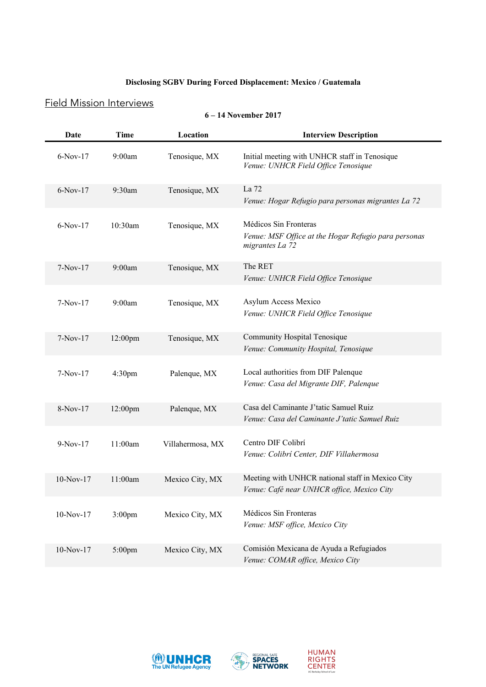### **Disclosing SGBV During Forced Displacement: Mexico / Guatemala**

## Field Mission Interviews

### **6 – 14 November 2017**

| Date        | Time               | Location         | <b>Interview Description</b>                                                                     |
|-------------|--------------------|------------------|--------------------------------------------------------------------------------------------------|
| $6-Nov-17$  | 9:00am             | Tenosique, MX    | Initial meeting with UNHCR staff in Tenosique<br>Venue: UNHCR Field Office Tenosique             |
| $6-Nov-17$  | 9:30am             | Tenosique, MX    | La 72<br>Venue: Hogar Refugio para personas migrantes La 72                                      |
| $6-Nov-17$  | 10:30am            | Tenosique, MX    | Médicos Sin Fronteras<br>Venue: MSF Office at the Hogar Refugio para personas<br>migrantes La 72 |
| $7-Nov-17$  | 9:00am             | Tenosique, MX    | The RET<br>Venue: UNHCR Field Office Tenosique                                                   |
| $7-Nov-17$  | 9:00am             | Tenosique, MX    | <b>Asylum Access Mexico</b><br>Venue: UNHCR Field Office Tenosique                               |
| $7-Nov-17$  | $12:00 \text{pm}$  | Tenosique, MX    | Community Hospital Tenosique<br>Venue: Community Hospital, Tenosique                             |
| $7-Nov-17$  | 4:30 <sub>pm</sub> | Palenque, MX     | Local authorities from DIF Palenque<br>Venue: Casa del Migrante DIF, Palenque                    |
| 8-Nov-17    | $12:00$ pm         | Palenque, MX     | Casa del Caminante J'tatic Samuel Ruiz<br>Venue: Casa del Caminante J'tatic Samuel Ruiz          |
| $9-Nov-17$  | 11:00am            | Villahermosa, MX | Centro DIF Colibrí<br>Venue: Colibri Center, DIF Villahermosa                                    |
| $10-Nov-17$ | 11:00am            | Mexico City, MX  | Meeting with UNHCR national staff in Mexico City<br>Venue: Café near UNHCR office, Mexico City   |
| $10-Nov-17$ | 3:00 <sub>pm</sub> | Mexico City, MX  | Médicos Sin Fronteras<br>Venue: MSF office, Mexico City                                          |
| $10-Nov-17$ | $5:00$ pm          | Mexico City, MX  | Comisión Mexicana de Ayuda a Refugiados<br>Venue: COMAR office, Mexico City                      |